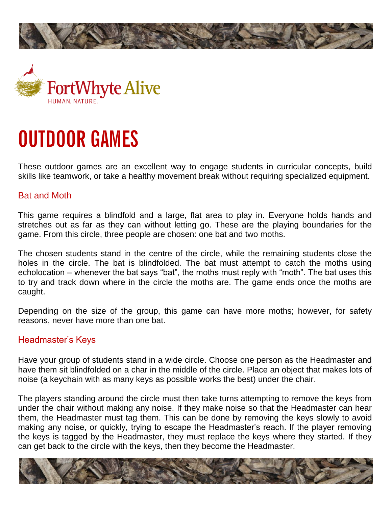



# **OUTDOOR GAMES**

These outdoor games are an excellent way to engage students in curricular concepts, build skills like teamwork, or take a healthy movement break without requiring specialized equipment.

#### Bat and Moth

This game requires a blindfold and a large, flat area to play in. Everyone holds hands and stretches out as far as they can without letting go. These are the playing boundaries for the game. From this circle, three people are chosen: one bat and two moths.

The chosen students stand in the centre of the circle, while the remaining students close the holes in the circle. The bat is blindfolded. The bat must attempt to catch the moths using echolocation – whenever the bat says "bat", the moths must reply with "moth". The bat uses this to try and track down where in the circle the moths are. The game ends once the moths are caught.

Depending on the size of the group, this game can have more moths; however, for safety reasons, never have more than one bat.

#### Headmaster's Keys

Have your group of students stand in a wide circle. Choose one person as the Headmaster and have them sit blindfolded on a char in the middle of the circle. Place an object that makes lots of noise (a keychain with as many keys as possible works the best) under the chair.

The players standing around the circle must then take turns attempting to remove the keys from under the chair without making any noise. If they make noise so that the Headmaster can hear them, the Headmaster must tag them. This can be done by removing the keys slowly to avoid making any noise, or quickly, trying to escape the Headmaster's reach. If the player removing the keys is tagged by the Headmaster, they must replace the keys where they started. If they can get back to the circle with the keys, then they become the Headmaster.

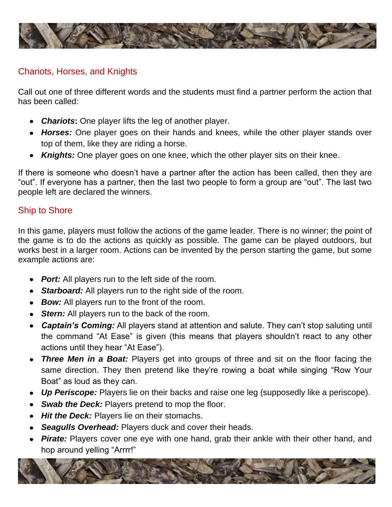

#### Chariots, Horses, and Knights

Call out one of three different words and the students must find a partner perform the action that has been called:

- *Chariots***:** One player lifts the leg of another player.
- *Horses:* One player goes on their hands and knees, while the other player stands over top of them, like they are riding a horse.
- *Knights:* One player goes on one knee, which the other player sits on their knee.

If there is someone who doesn't have a partner after the action has been called, then they are "out". If everyone has a partner, then the last two people to form a group are "out". The last two people left are declared the winners.

#### Ship to Shore

In this game, players must follow the actions of the game leader. There is no winner; the point of the game is to do the actions as quickly as possible. The game can be played outdoors, but works best in a larger room. Actions can be invented by the person starting the game, but some example actions are:

- **Port:** All players run to the left side of the room.
- *Starboard:* All players run to the right side of the room.
- *Bow:* All players run to the front of the room.
- *Stern:* All players run to the back of the room.
- *Captain's Coming:* All players stand at attention and salute. They can't stop saluting until the command "At Ease" is given (this means that players shouldn't react to any other actions until they hear "At Ease").
- **Three Men in a Boat:** Players get into groups of three and sit on the floor facing the same direction. They then pretend like they're rowing a boat while singing "Row Your Boat" as loud as they can.
- *Up Periscope:* Players lie on their backs and raise one leg (supposedly like a periscope).
- *Swab the Deck: Players pretend to mop the floor.*  $\bullet$
- *Hit the Deck: Players lie on their stomachs.*
- *Seagulls Overhead:* Players duck and cover their heads.
- *Pirate:* Players cover one eye with one hand, grab their ankle with their other hand, and hop around yelling "Arrrr!"

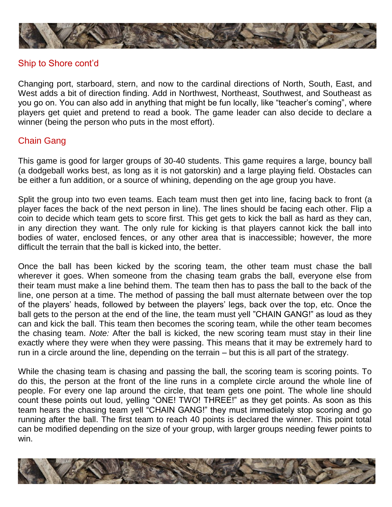

#### Ship to Shore cont'd

Changing port, starboard, stern, and now to the cardinal directions of North, South, East, and West adds a bit of direction finding. Add in Northwest, Northeast, Southwest, and Southeast as you go on. You can also add in anything that might be fun locally, like "teacher's coming", where players get quiet and pretend to read a book. The game leader can also decide to declare a winner (being the person who puts in the most effort).

# Chain Gang

This game is good for larger groups of 30-40 students. This game requires a large, bouncy ball (a dodgeball works best, as long as it is not gatorskin) and a large playing field. Obstacles can be either a fun addition, or a source of whining, depending on the age group you have.

Split the group into two even teams. Each team must then get into line, facing back to front (a player faces the back of the next person in line). The lines should be facing each other. Flip a coin to decide which team gets to score first. This get gets to kick the ball as hard as they can, in any direction they want. The only rule for kicking is that players cannot kick the ball into bodies of water, enclosed fences, or any other area that is inaccessible; however, the more difficult the terrain that the ball is kicked into, the better.

Once the ball has been kicked by the scoring team, the other team must chase the ball wherever it goes. When someone from the chasing team grabs the ball, everyone else from their team must make a line behind them. The team then has to pass the ball to the back of the line, one person at a time. The method of passing the ball must alternate between over the top of the players' heads, followed by between the players' legs, back over the top, etc. Once the ball gets to the person at the end of the line, the team must yell "CHAIN GANG!" as loud as they can and kick the ball. This team then becomes the scoring team, while the other team becomes the chasing team. *Note:* After the ball is kicked, the new scoring team must stay in their line exactly where they were when they were passing. This means that it may be extremely hard to run in a circle around the line, depending on the terrain – but this is all part of the strategy.

While the chasing team is chasing and passing the ball, the scoring team is scoring points. To do this, the person at the front of the line runs in a complete circle around the whole line of people. For every one lap around the circle, that team gets one point. The whole line should count these points out loud, yelling "ONE! TWO! THREE!" as they get points. As soon as this team hears the chasing team yell "CHAIN GANG!" they must immediately stop scoring and go running after the ball. The first team to reach 40 points is declared the winner. This point total can be modified depending on the size of your group, with larger groups needing fewer points to win.

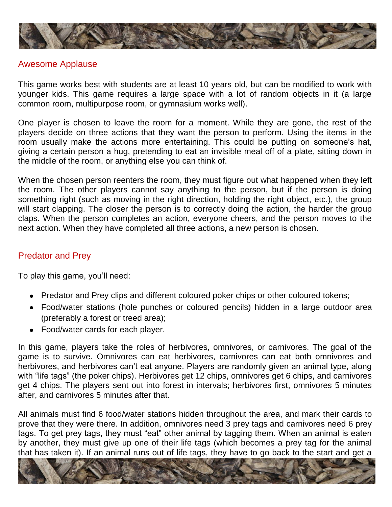

#### Awesome Applause

This game works best with students are at least 10 years old, but can be modified to work with younger kids. This game requires a large space with a lot of random objects in it (a large common room, multipurpose room, or gymnasium works well).

One player is chosen to leave the room for a moment. While they are gone, the rest of the players decide on three actions that they want the person to perform. Using the items in the room usually make the actions more entertaining. This could be putting on someone's hat, giving a certain person a hug, pretending to eat an invisible meal off of a plate, sitting down in the middle of the room, or anything else you can think of.

When the chosen person reenters the room, they must figure out what happened when they left the room. The other players cannot say anything to the person, but if the person is doing something right (such as moving in the right direction, holding the right object, etc.), the group will start clapping. The closer the person is to correctly doing the action, the harder the group claps. When the person completes an action, everyone cheers, and the person moves to the next action. When they have completed all three actions, a new person is chosen.

# Predator and Prey

To play this game, you'll need:

- Predator and Prey clips and different coloured poker chips or other coloured tokens;
- Food/water stations (hole punches or coloured pencils) hidden in a large outdoor area (preferably a forest or treed area);
- Food/water cards for each player.

In this game, players take the roles of herbivores, omnivores, or carnivores. The goal of the game is to survive. Omnivores can eat herbivores, carnivores can eat both omnivores and herbivores, and herbivores can't eat anyone. Players are randomly given an animal type, along with "life tags" (the poker chips). Herbivores get 12 chips, omnivores get 6 chips, and carnivores get 4 chips. The players sent out into forest in intervals; herbivores first, omnivores 5 minutes after, and carnivores 5 minutes after that.

All animals must find 6 food/water stations hidden throughout the area, and mark their cards to prove that they were there. In addition, omnivores need 3 prey tags and carnivores need 6 prey tags. To get prey tags, they must "eat" other animal by tagging them. When an animal is eaten by another, they must give up one of their life tags (which becomes a prey tag for the animal that has taken it). If an animal runs out of life tags, they have to go back to the start and get a

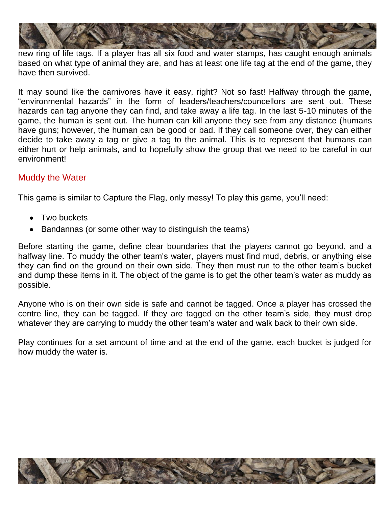

new ring of life tags. If a player has all six food and water stamps, has caught enough animals based on what type of animal they are, and has at least one life tag at the end of the game, they have then survived.

It may sound like the carnivores have it easy, right? Not so fast! Halfway through the game, "environmental hazards" in the form of leaders/teachers/councellors are sent out. These hazards can tag anyone they can find, and take away a life tag. In the last 5-10 minutes of the game, the human is sent out. The human can kill anyone they see from any distance (humans have guns; however, the human can be good or bad. If they call someone over, they can either decide to take away a tag or give a tag to the animal. This is to represent that humans can either hurt or help animals, and to hopefully show the group that we need to be careful in our environment!

# Muddy the Water

This game is similar to Capture the Flag, only messy! To play this game, you'll need:

- Two buckets
- Bandannas (or some other way to distinguish the teams)

Before starting the game, define clear boundaries that the players cannot go beyond, and a halfway line. To muddy the other team's water, players must find mud, debris, or anything else they can find on the ground on their own side. They then must run to the other team's bucket and dump these items in it. The object of the game is to get the other team's water as muddy as possible.

Anyone who is on their own side is safe and cannot be tagged. Once a player has crossed the centre line, they can be tagged. If they are tagged on the other team's side, they must drop whatever they are carrying to muddy the other team's water and walk back to their own side.

Play continues for a set amount of time and at the end of the game, each bucket is judged for how muddy the water is.

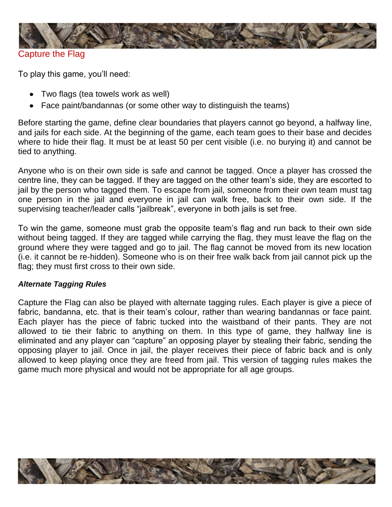

Capture the Flag

To play this game, you'll need:

- Two flags (tea towels work as well)
- Face paint/bandannas (or some other way to distinguish the teams)

Before starting the game, define clear boundaries that players cannot go beyond, a halfway line, and jails for each side. At the beginning of the game, each team goes to their base and decides where to hide their flag. It must be at least 50 per cent visible (i.e. no burying it) and cannot be tied to anything.

Anyone who is on their own side is safe and cannot be tagged. Once a player has crossed the centre line, they can be tagged. If they are tagged on the other team's side, they are escorted to jail by the person who tagged them. To escape from jail, someone from their own team must tag one person in the jail and everyone in jail can walk free, back to their own side. If the supervising teacher/leader calls "jailbreak", everyone in both jails is set free.

To win the game, someone must grab the opposite team's flag and run back to their own side without being tagged. If they are tagged while carrying the flag, they must leave the flag on the ground where they were tagged and go to jail. The flag cannot be moved from its new location (i.e. it cannot be re-hidden). Someone who is on their free walk back from jail cannot pick up the flag; they must first cross to their own side.

#### *Alternate Tagging Rules*

Capture the Flag can also be played with alternate tagging rules. Each player is give a piece of fabric, bandanna, etc. that is their team's colour, rather than wearing bandannas or face paint. Each player has the piece of fabric tucked into the waistband of their pants. They are not allowed to tie their fabric to anything on them. In this type of game, they halfway line is eliminated and any player can "capture" an opposing player by stealing their fabric, sending the opposing player to jail. Once in jail, the player receives their piece of fabric back and is only allowed to keep playing once they are freed from jail. This version of tagging rules makes the game much more physical and would not be appropriate for all age groups.

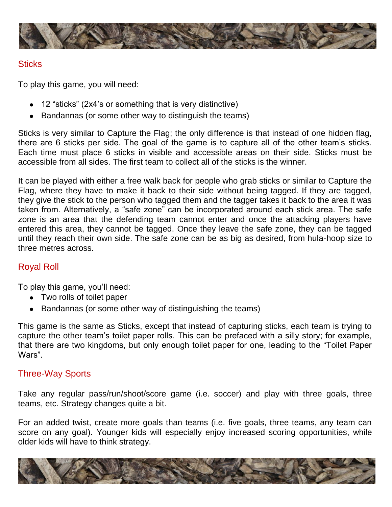

#### **Sticks**

To play this game, you will need:

- 12 "sticks" (2x4's or something that is very distinctive)
- Bandannas (or some other way to distinguish the teams)

Sticks is very similar to Capture the Flag; the only difference is that instead of one hidden flag, there are 6 sticks per side. The goal of the game is to capture all of the other team's sticks. Each time must place 6 sticks in visible and accessible areas on their side. Sticks must be accessible from all sides. The first team to collect all of the sticks is the winner.

It can be played with either a free walk back for people who grab sticks or similar to Capture the Flag, where they have to make it back to their side without being tagged. If they are tagged, they give the stick to the person who tagged them and the tagger takes it back to the area it was taken from. Alternatively, a "safe zone" can be incorporated around each stick area. The safe zone is an area that the defending team cannot enter and once the attacking players have entered this area, they cannot be tagged. Once they leave the safe zone, they can be tagged until they reach their own side. The safe zone can be as big as desired, from hula-hoop size to three metres across.

# Royal Roll

To play this game, you'll need:

- Two rolls of toilet paper
- Bandannas (or some other way of distinguishing the teams)

This game is the same as Sticks, except that instead of capturing sticks, each team is trying to capture the other team's toilet paper rolls. This can be prefaced with a silly story; for example, that there are two kingdoms, but only enough toilet paper for one, leading to the "Toilet Paper Wars".

# Three-Way Sports

Take any regular pass/run/shoot/score game (i.e. soccer) and play with three goals, three teams, etc. Strategy changes quite a bit.

For an added twist, create more goals than teams (i.e. five goals, three teams, any team can score on any goal). Younger kids will especially enjoy increased scoring opportunities, while older kids will have to think strategy.

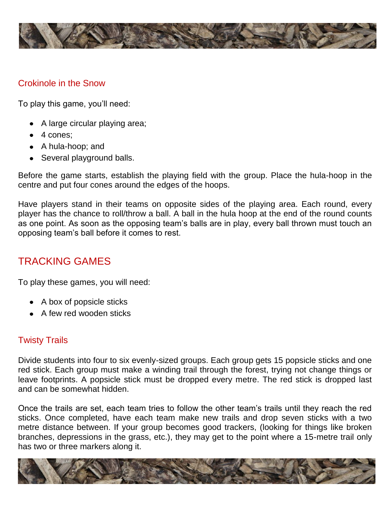

#### Crokinole in the Snow

To play this game, you'll need:

- A large circular playing area;
- 4 cones:
- A hula-hoop; and
- Several playground balls.

Before the game starts, establish the playing field with the group. Place the hula-hoop in the centre and put four cones around the edges of the hoops.

Have players stand in their teams on opposite sides of the playing area. Each round, every player has the chance to roll/throw a ball. A ball in the hula hoop at the end of the round counts as one point. As soon as the opposing team's balls are in play, every ball thrown must touch an opposing team's ball before it comes to rest.

# TRACKING GAMES

To play these games, you will need:

- A box of popsicle sticks
- A few red wooden sticks

# Twisty Trails

Divide students into four to six evenly-sized groups. Each group gets 15 popsicle sticks and one red stick. Each group must make a winding trail through the forest, trying not change things or leave footprints. A popsicle stick must be dropped every metre. The red stick is dropped last and can be somewhat hidden.

Once the trails are set, each team tries to follow the other team's trails until they reach the red sticks. Once completed, have each team make new trails and drop seven sticks with a two metre distance between. If your group becomes good trackers, (looking for things like broken branches, depressions in the grass, etc.), they may get to the point where a 15-metre trail only has two or three markers along it.